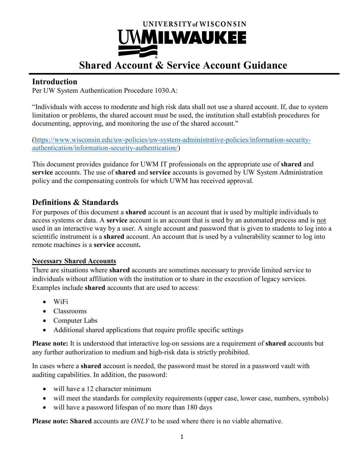

# **Shared Account & Service Account Guidance**

## **Introduction**

Per UW System Authentication Procedure 1030.A:

"Individuals with access to moderate and high risk data shall not use a shared account. If, due to system limitation or problems, the shared account must be used, the institution shall establish procedures for documenting, approving, and monitoring the use of the shared account."

[\(https://www.wisconsin.edu/uw-policies/uw-system-administrative-policies/information-security](https://www.wisconsin.edu/uw-policies/uw-system-administrative-policies/information-security-authentication/information-security-authentication/)[authentication/information-security-authentication/\)](https://www.wisconsin.edu/uw-policies/uw-system-administrative-policies/information-security-authentication/information-security-authentication/)

This document provides guidance for UWM IT professionals on the appropriate use of **shared** and **service** accounts. The use of **shared** and **service** accounts is governed by UW System Administration policy and the compensating controls for which UWM has received approval.

## **Definitions & Standards**

For purposes of this document a **shared** account is an account that is used by multiple individuals to access systems or data. A **service** account is an account that is used by an automated process and is not used in an interactive way by a user. A single account and password that is given to students to log into a scientific instrument is a **shared** account. An account that is used by a vulnerability scanner to log into remote machines is a **service** account**.**

#### **Necessary Shared Accounts**

There are situations where **shared** accounts are sometimes necessary to provide limited service to individuals without affiliation with the institution or to share in the execution of legacy services. Examples include **shared** accounts that are used to access:

- WiFi
- Classrooms
- Computer Labs
- Additional shared applications that require profile specific settings

**Please note:** It is understood that interactive log-on sessions are a requirement of **shared** accounts but any further authorization to medium and high-risk data is strictly prohibited.

In cases where a **shared** account is needed, the password must be stored in a password vault with auditing capabilities. In addition, the password:

- will have a 12 character minimum
- will meet the standards for complexity requirements (upper case, lower case, numbers, symbols)
- will have a password lifespan of no more than 180 days

**Please note: Shared** accounts are *ONLY* to be used where there is no viable alternative.